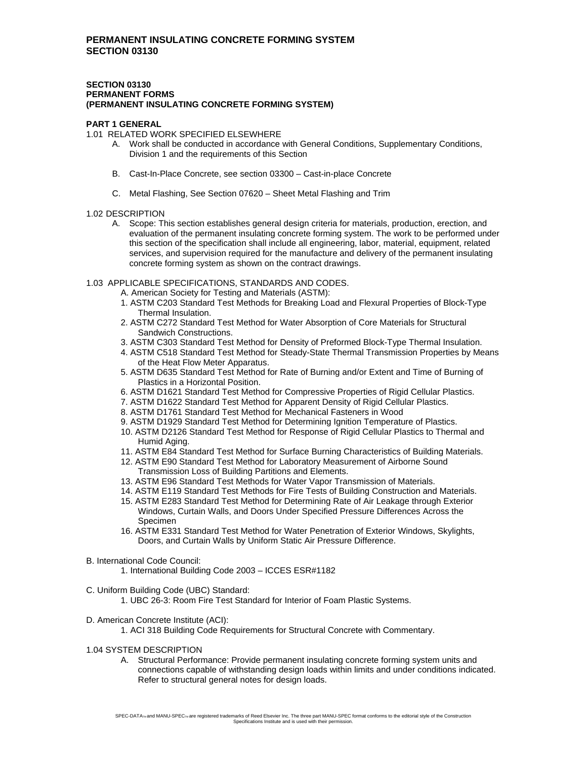#### **SECTION 03130 PERMANENT FORMS (PERMANENT INSULATING CONCRETE FORMING SYSTEM)**

#### **PART 1 GENERAL**

1.01 RELATED WORK SPECIFIED ELSEWHERE

- A. Work shall be conducted in accordance with General Conditions, Supplementary Conditions, Division 1 and the requirements of this Section
- B. Cast-In-Place Concrete, see section 03300 Cast-in-place Concrete
- C. Metal Flashing, See Section 07620 Sheet Metal Flashing and Trim

# 1.02 DESCRIPTION

- A. Scope: This section establishes general design criteria for materials, production, erection, and evaluation of the permanent insulating concrete forming system. The work to be performed under this section of the specification shall include all engineering, labor, material, equipment, related services, and supervision required for the manufacture and delivery of the permanent insulating concrete forming system as shown on the contract drawings.
- 1.03 APPLICABLE SPECIFICATIONS, STANDARDS AND CODES.
	- A. American Society for Testing and Materials (ASTM):
	- 1. ASTM C203 Standard Test Methods for Breaking Load and Flexural Properties of Block-Type Thermal Insulation.
	- 2. ASTM C272 Standard Test Method for Water Absorption of Core Materials for Structural Sandwich Constructions.
	- 3. ASTM C303 Standard Test Method for Density of Preformed Block-Type Thermal Insulation.
	- 4. ASTM C518 Standard Test Method for Steady-State Thermal Transmission Properties by Means of the Heat Flow Meter Apparatus.
	- 5. ASTM D635 Standard Test Method for Rate of Burning and/or Extent and Time of Burning of Plastics in a Horizontal Position.
	- 6. ASTM D1621 Standard Test Method for Compressive Properties of Rigid Cellular Plastics.
	- 7. ASTM D1622 Standard Test Method for Apparent Density of Rigid Cellular Plastics.
	- 8. ASTM D1761 Standard Test Method for Mechanical Fasteners in Wood
	- 9. ASTM D1929 Standard Test Method for Determining Ignition Temperature of Plastics.
	- 10. ASTM D2126 Standard Test Method for Response of Rigid Cellular Plastics to Thermal and Humid Aging.
	- 11. ASTM E84 Standard Test Method for Surface Burning Characteristics of Building Materials.
	- 12. ASTM E90 Standard Test Method for Laboratory Measurement of Airborne Sound Transmission Loss of Building Partitions and Elements.
	- 13. ASTM E96 Standard Test Methods for Water Vapor Transmission of Materials.
	- 14. ASTM E119 Standard Test Methods for Fire Tests of Building Construction and Materials.
	- 15. ASTM E283 Standard Test Method for Determining Rate of Air Leakage through Exterior
	- Windows, Curtain Walls, and Doors Under Specified Pressure Differences Across the Specimen
	- 16. ASTM E331 Standard Test Method for Water Penetration of Exterior Windows, Skylights, Doors, and Curtain Walls by Uniform Static Air Pressure Difference.
- B. International Code Council:
	- 1. International Building Code 2003 ICCES ESR#1182
- C. Uniform Building Code (UBC) Standard:
	- 1. UBC 26-3: Room Fire Test Standard for Interior of Foam Plastic Systems.
- D. American Concrete Institute (ACI):
	- 1. ACI 318 Building Code Requirements for Structural Concrete with Commentary.
- 1.04 SYSTEM DESCRIPTION
	- A. Structural Performance: Provide permanent insulating concrete forming system units and connections capable of withstanding design loads within limits and under conditions indicated. Refer to structural general notes for design loads.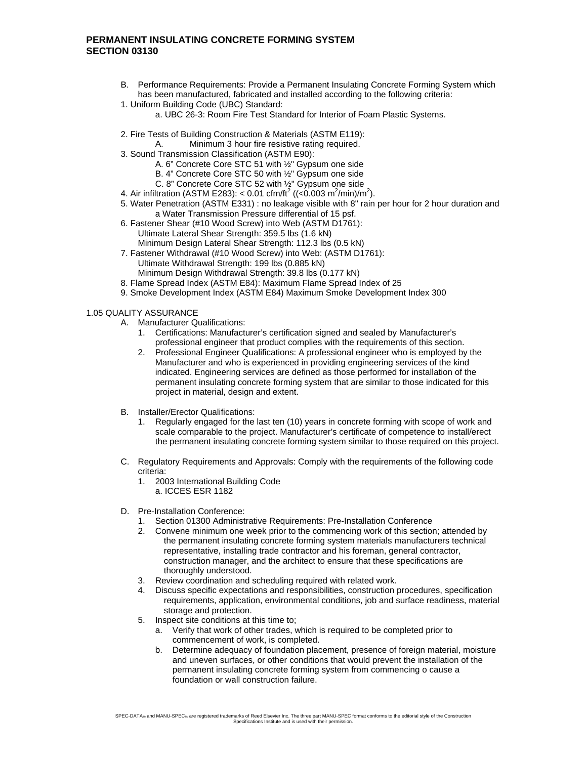- B. Performance Requirements: Provide a Permanent Insulating Concrete Forming System which has been manufactured, fabricated and installed according to the following criteria:
- 1. Uniform Building Code (UBC) Standard:
	- a. UBC 26-3: Room Fire Test Standard for Interior of Foam Plastic Systems.
- 2. Fire Tests of Building Construction & Materials (ASTM E119):
	- A. Minimum 3 hour fire resistive rating required.
- 3. Sound Transmission Classification (ASTM E90):
	- A. 6" Concrete Core STC 51 with ½" Gypsum one side
	- B. 4" Concrete Core STC 50 with ½" Gypsum one side
	- C. 8" Concrete Core STC 52 with ½" Gypsum one side
- 4. Air infiltration (ASTM E283): < 0.01 cfm/ft<sup>2</sup> ((<0.003 m<sup>2</sup>/min)/m<sup>2</sup>).
	- 5. Water Penetration (ASTM E331) : no leakage visible with 8" rain per hour for 2 hour duration and a Water Transmission Pressure differential of 15 psf.
	- 6. Fastener Shear (#10 Wood Screw) into Web (ASTM D1761): Ultimate Lateral Shear Strength: 359.5 lbs (1.6 kN) Minimum Design Lateral Shear Strength: 112.3 lbs (0.5 kN)
	- 7. Fastener Withdrawal (#10 Wood Screw) into Web: (ASTM D1761): Ultimate Withdrawal Strength: 199 lbs (0.885 kN) Minimum Design Withdrawal Strength: 39.8 lbs (0.177 kN)
	- 8. Flame Spread Index (ASTM E84): Maximum Flame Spread Index of 25
	- 9. Smoke Development Index (ASTM E84) Maximum Smoke Development Index 300

#### 1.05 QUALITY ASSURANCE

- A. Manufacturer Qualifications:
	- 1. Certifications: Manufacturer's certification signed and sealed by Manufacturer's professional engineer that product complies with the requirements of this section.
	- 2. Professional Engineer Qualifications: A professional engineer who is employed by the Manufacturer and who is experienced in providing engineering services of the kind indicated. Engineering services are defined as those performed for installation of the permanent insulating concrete forming system that are similar to those indicated for this project in material, design and extent.
- B. Installer/Erector Qualifications:
	- 1. Regularly engaged for the last ten (10) years in concrete forming with scope of work and scale comparable to the project. Manufacturer's certificate of competence to install/erect the permanent insulating concrete forming system similar to those required on this project.
- C. Regulatory Requirements and Approvals: Comply with the requirements of the following code criteria:
	- 1. 2003 International Building Code a. ICCES ESR 1182
- D. Pre-Installation Conference:
	- 1. Section 01300 Administrative Requirements: Pre-Installation Conference
	- 2. Convene minimum one week prior to the commencing work of this section; attended by the permanent insulating concrete forming system materials manufacturers technical representative, installing trade contractor and his foreman, general contractor, construction manager, and the architect to ensure that these specifications are thoroughly understood.
	- 3. Review coordination and scheduling required with related work.
	- 4. Discuss specific expectations and responsibilities, construction procedures, specification requirements, application, environmental conditions, job and surface readiness, material storage and protection.
	- 5. Inspect site conditions at this time to;
		- a. Verify that work of other trades, which is required to be completed prior to commencement of work, is completed.
		- b. Determine adequacy of foundation placement, presence of foreign material, moisture and uneven surfaces, or other conditions that would prevent the installation of the permanent insulating concrete forming system from commencing o cause a foundation or wall construction failure.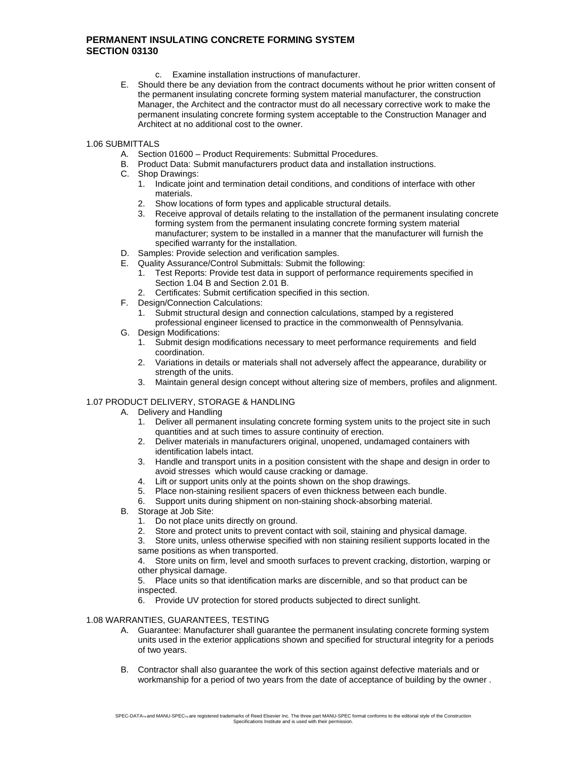- c. Examine installation instructions of manufacturer.
- E. Should there be any deviation from the contract documents without he prior written consent of the permanent insulating concrete forming system material manufacturer, the construction Manager, the Architect and the contractor must do all necessary corrective work to make the permanent insulating concrete forming system acceptable to the Construction Manager and Architect at no additional cost to the owner.

1.06 SUBMITTALS

- A. Section 01600 Product Requirements: Submittal Procedures.
- B. Product Data: Submit manufacturers product data and installation instructions.
- C. Shop Drawings:
	- 1. Indicate joint and termination detail conditions, and conditions of interface with other materials.
	- 2. Show locations of form types and applicable structural details.
	- 3. Receive approval of details relating to the installation of the permanent insulating concrete forming system from the permanent insulating concrete forming system material manufacturer; system to be installed in a manner that the manufacturer will furnish the specified warranty for the installation.
- D. Samples: Provide selection and verification samples.
- E. Quality Assurance/Control Submittals: Submit the following:
	- 1. Test Reports: Provide test data in support of performance requirements specified in Section 1.04 B and Section 2.01 B.
	- 2. Certificates: Submit certification specified in this section.
- F. Design/Connection Calculations:
	- 1. Submit structural design and connection calculations, stamped by a registered professional engineer licensed to practice in the commonwealth of Pennsylvania.
- G. Design Modifications:
	- 1. Submit design modifications necessary to meet performance requirements and field coordination.
	- 2. Variations in details or materials shall not adversely affect the appearance, durability or strength of the units.
	- 3. Maintain general design concept without altering size of members, profiles and alignment.

## 1.07 PRODUCT DELIVERY, STORAGE & HANDLING

- A. Delivery and Handling
	- 1. Deliver all permanent insulating concrete forming system units to the project site in such quantities and at such times to assure continuity of erection.
	- 2. Deliver materials in manufacturers original, unopened, undamaged containers with identification labels intact.
	- 3. Handle and transport units in a position consistent with the shape and design in order to avoid stresses which would cause cracking or damage.
	-
	- 4. Lift or support units only at the points shown on the shop drawings.<br>5. Place non-staining resilient spacers of even thickness between each
	- 5. Place non-staining resilient spacers of even thickness between each bundle.<br>6. Support units during shipment on non-staining shock-absorbing material. Support units during shipment on non-staining shock-absorbing material.
- B. Storage at Job Site:
	- 1. Do not place units directly on ground.
	- 2. Store and protect units to prevent contact with soil, staining and physical damage.<br>3. Store units, unless otherwise specified with non staining resilient supports located
	- Store units, unless otherwise specified with non staining resilient supports located in the same positions as when transported.

4. Store units on firm, level and smooth surfaces to prevent cracking, distortion, warping or other physical damage.

5. Place units so that identification marks are discernible, and so that product can be inspected.

6. Provide UV protection for stored products subjected to direct sunlight.

## 1.08 WARRANTIES, GUARANTEES, TESTING

- A. Guarantee: Manufacturer shall guarantee the permanent insulating concrete forming system units used in the exterior applications shown and specified for structural integrity for a periods of two years.
- B. Contractor shall also guarantee the work of this section against defective materials and or workmanship for a period of two years from the date of acceptance of building by the owner .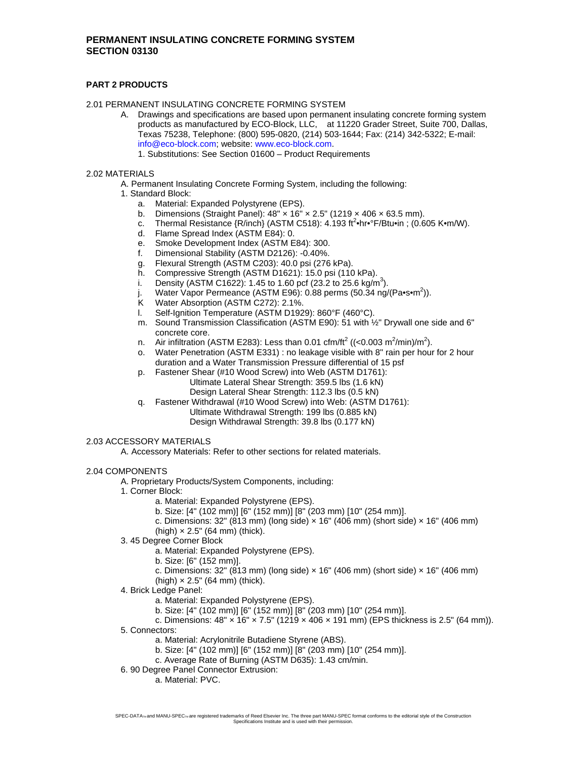## **PART 2 PRODUCTS**

2.01 PERMANENT INSULATING CONCRETE FORMING SYSTEM

- A. Drawings and specifications are based upon permanent insulating concrete forming system products as manufactured by ECO-Block, LLC, at 11220 Grader Street, Suite 700, Dallas, Texas 75238, Telephone: (800) 595-0820, (214) 503-1644; Fax: (214) 342-5322; E-mail: info@eco-block.com; website: www.eco-block.com.
	- 1. Substitutions: See Section 01600 Product Requirements

## 2.02 MATERIALS

- A. Permanent Insulating Concrete Forming System, including the following:
	- 1. Standard Block:
		- a. Material: Expanded Polystyrene (EPS).
		- b. Dimensions (Straight Panel):  $48'' \times 16'' \times 2.5''$  (1219  $\times$  406  $\times$  63.5 mm).
		- c. Thermal Resistance  $\{R/inch\}$  (ASTM C518):  $4.193 \text{ ft}^2 \cdot \text{hr} \cdot \text{F/B} \cdot \text{t} \cdot \text{m}$  (0.605 K $\cdot \text{m/W}$ ).
		- d. Flame Spread Index (ASTM E84): 0.
		- e. Smoke Development Index (ASTM E84): 300.
		- f. Dimensional Stability (ASTM D2126): -0.40%.
		- g. Flexural Strength (ASTM C203): 40.0 psi (276 kPa).
		- h. Compressive Strength (ASTM D1621): 15.0 psi (110 kPa).
		- i. Density (ASTM C1622): 1.45 to 1.60 pcf (23.2 to 25.6 kg/m<sup>3</sup>).
		- j. Water Vapor Permeance (ASTM E96): 0.88 perms (50.34 ng/(Pa•s•m<sup>2</sup>)).
		- K Water Absorption (ASTM C272): 2.1%.<br>I. Self-Ianition Temperature (ASTM D192
		- Self-Ignition Temperature (ASTM D1929): 860°F (460°C).
		- m. Sound Transmission Classification (ASTM E90): 51 with ½" Drywall one side and 6" concrete core.
		- n. Air infiltration (ASTM E283): Less than 0.01 cfm/ft<sup>2</sup> ((<0.003 m<sup>2</sup>/min)/m<sup>2</sup>).
		- o. Water Penetration (ASTM E331) : no leakage visible with 8" rain per hour for 2 hour duration and a Water Transmission Pressure differential of 15 psf
		- p. Fastener Shear (#10 Wood Screw) into Web (ASTM D1761):
			- Ultimate Lateral Shear Strength: 359.5 lbs (1.6 kN) Design Lateral Shear Strength: 112.3 lbs (0.5 kN)
		- q. Fastener Withdrawal (#10 Wood Screw) into Web: (ASTM D1761):
			- Ultimate Withdrawal Strength: 199 lbs (0.885 kN)
			- Design Withdrawal Strength: 39.8 lbs (0.177 kN)

### 2.03 ACCESSORY MATERIALS

A. Accessory Materials: Refer to other sections for related materials.

### 2.04 COMPONENTS

- A. Proprietary Products/System Components, including:
- 1. Corner Block:
	- a. Material: Expanded Polystyrene (EPS).
		- b. Size: [4" (102 mm)] [6" (152 mm)] [8" (203 mm) [10" (254 mm)].
		- c. Dimensions:  $32''$  (813 mm) (long side)  $\times$  16" (406 mm) (short side)  $\times$  16" (406 mm)  $(high) \times 2.5$ " (64 mm) (thick).
- 3. 45 Degree Corner Block
	- a. Material: Expanded Polystyrene (EPS).
	- b. Size: [6" (152 mm)].
	- c. Dimensions:  $32''$  (813 mm) (long side)  $\times$  16" (406 mm) (short side)  $\times$  16" (406 mm)
	- (high)  $\times$  2.5" (64 mm) (thick).
- 4. Brick Ledge Panel:
	- a. Material: Expanded Polystyrene (EPS).
	- b. Size: [4" (102 mm)] [6" (152 mm)] [8" (203 mm) [10" (254 mm)].

```
c. Dimensions: 48'' \times 16'' \times 7.5'' (1219 \times 406 \times 191 mm) (EPS thickness is 2.5" (64 mm)).
```
- 5. Connectors:
	- a. Material: Acrylonitrile Butadiene Styrene (ABS).
	- b. Size: [4" (102 mm)] [6" (152 mm)] [8" (203 mm) [10" (254 mm)].
	- c. Average Rate of Burning (ASTM D635): 1.43 cm/min.
- 6. 90 Degree Panel Connector Extrusion:
	- a. Material: PVC.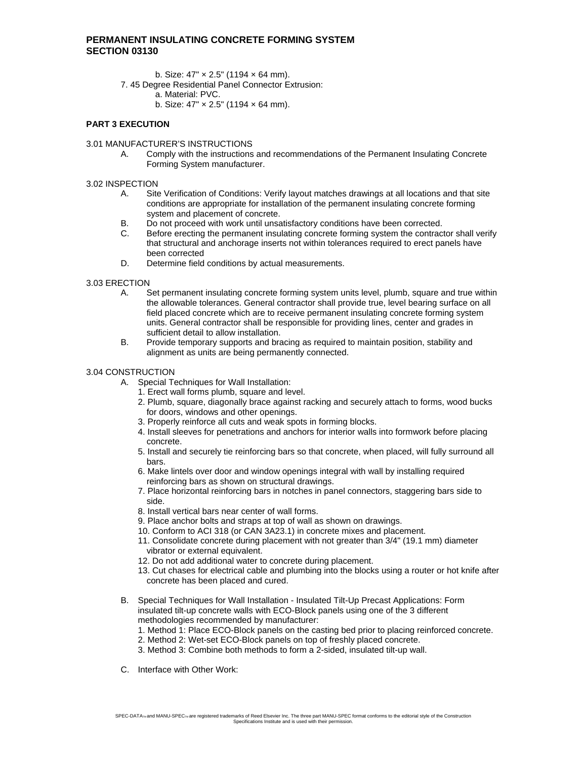- b. Size: 47" × 2.5" (1194 × 64 mm).
- 7. 45 Degree Residential Panel Connector Extrusion:
	- a. Material: PVC.
	- b. Size:  $47" \times 2.5"$  (1194  $\times$  64 mm).

### **PART 3 EXECUTION**

#### 3.01 MANUFACTURER'S INSTRUCTIONS

A. Comply with the instructions and recommendations of the Permanent Insulating Concrete Forming System manufacturer.

#### 3.02 INSPECTION

- A. Site Verification of Conditions: Verify layout matches drawings at all locations and that site conditions are appropriate for installation of the permanent insulating concrete forming system and placement of concrete.
- B. Do not proceed with work until unsatisfactory conditions have been corrected.
- C. Before erecting the permanent insulating concrete forming system the contractor shall verify that structural and anchorage inserts not within tolerances required to erect panels have been corrected
- D. Determine field conditions by actual measurements.

### 3.03 ERECTION

- A. Set permanent insulating concrete forming system units level, plumb, square and true within the allowable tolerances. General contractor shall provide true, level bearing surface on all field placed concrete which are to receive permanent insulating concrete forming system units. General contractor shall be responsible for providing lines, center and grades in sufficient detail to allow installation.
- B. Provide temporary supports and bracing as required to maintain position, stability and alignment as units are being permanently connected.

#### 3.04 CONSTRUCTION

- A. Special Techniques for Wall Installation:
	- 1. Erect wall forms plumb, square and level.
	- 2. Plumb, square, diagonally brace against racking and securely attach to forms, wood bucks for doors, windows and other openings.
	- 3. Properly reinforce all cuts and weak spots in forming blocks.
	- 4. Install sleeves for penetrations and anchors for interior walls into formwork before placing concrete.
	- 5. Install and securely tie reinforcing bars so that concrete, when placed, will fully surround all bars.
	- 6. Make lintels over door and window openings integral with wall by installing required reinforcing bars as shown on structural drawings.
	- 7. Place horizontal reinforcing bars in notches in panel connectors, staggering bars side to side.
	- 8. Install vertical bars near center of wall forms.
	- 9. Place anchor bolts and straps at top of wall as shown on drawings.
	- 10. Conform to ACI 318 (or CAN 3A23.1) in concrete mixes and placement.
	- 11. Consolidate concrete during placement with not greater than 3/4" (19.1 mm) diameter vibrator or external equivalent.
	- 12. Do not add additional water to concrete during placement.
	- 13. Cut chases for electrical cable and plumbing into the blocks using a router or hot knife after concrete has been placed and cured.
- B. Special Techniques for Wall Installation Insulated Tilt-Up Precast Applications: Form insulated tilt-up concrete walls with ECO-Block panels using one of the 3 different methodologies recommended by manufacturer:
	- 1. Method 1: Place ECO-Block panels on the casting bed prior to placing reinforced concrete.
	- 2. Method 2: Wet-set ECO-Block panels on top of freshly placed concrete.
	- 3. Method 3: Combine both methods to form a 2-sided, insulated tilt-up wall.
- C. Interface with Other Work: